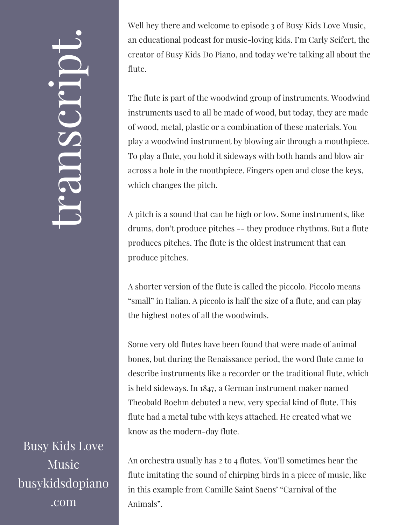## $\overline{\phantom{0}}$ ra<br>O n $\mathcal{S}$  $\bigcup$ r $\bullet$   $\overline{\phantom{1}}$  $\boxed{\phantom{1}}$  $\overline{\phantom{0}}$  $\bullet$

Busy Kids Love Music busykidsdopiano .com

Well hey there and welcome to episode 3 of Busy Kids Love Music, an educational podcast for music-loving kids. I'm Carly Seifert, the creator of Busy Kids Do Piano, and today we're talking all about the flute.

The flute is part of the woodwind group of instruments. Woodwind instruments used to all be made of wood, but today, they are made of wood, metal, plastic or a combination of these materials. You play a woodwind instrument by blowing air through a mouthpiece. To play a flute, you hold it sideways with both hands and blow air across a hole in the mouthpiece. Fingers open and close the keys, which changes the pitch.

A pitch is a sound that can be high or low. Some instruments, like drums, don't produce pitches -- they produce rhythms. But a flute produces pitches. The flute is the oldest instrument that can produce pitches.

A shorter version of the flute is called the piccolo. Piccolo means "small" in Italian. A piccolo is half the size of a flute, and can play the highest notes of all the woodwinds.

Some very old flutes have been found that were made of animal bones, but during the Renaissance period, the word flute came to describe instruments like a recorder or the traditional flute, which is held sideways. In 1847, a German instrument maker named Theobald Boehm debuted a new, very special kind of flute. This flute had a metal tube with keys attached. He created what we know as the modern-day flute.

An orchestra usually has 2 to 4 flutes. You'll sometimes hear the flute imitating the sound of chirping birds in a piece of music, like in this example from Camille Saint Saens' "Carnival of the Animals".